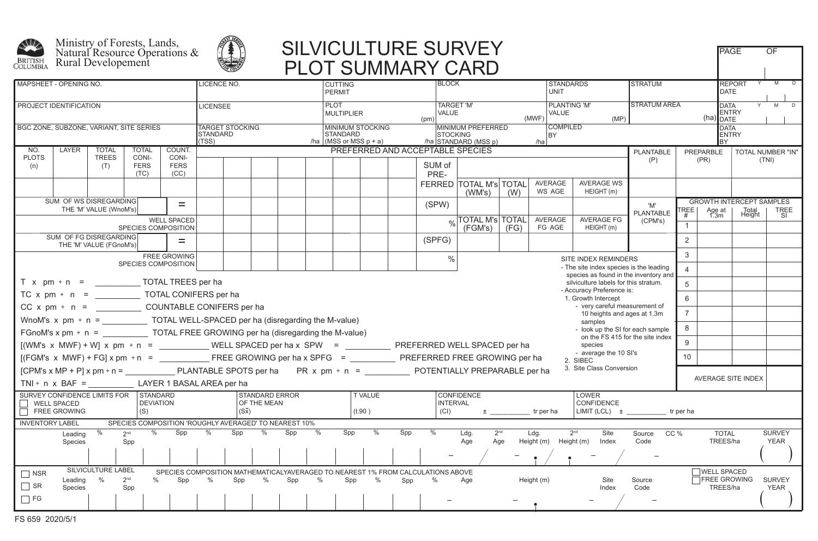





## SILVICULTURE SURVEY FAGE OF PLOT SUMMARY CARD

| <b>MAPSHEET - OPENING NO.</b>                                                                           |                                                                                                      |                        |                                                                              |                                                       |   | <b>LICENCE NO.</b>                 |                                                              |     |      | <b>CUTTING</b><br><b>PERMIT</b>                                                                                                                           |                          |        | <b>BLOCK</b>                                                                    |                                                                             |                                                                      |                | <b>STANDARDS</b><br><b>UNIT</b> |                                  | <b>STRATUM</b>         |                                                          |                                  |                 |                              |
|---------------------------------------------------------------------------------------------------------|------------------------------------------------------------------------------------------------------|------------------------|------------------------------------------------------------------------------|-------------------------------------------------------|---|------------------------------------|--------------------------------------------------------------|-----|------|-----------------------------------------------------------------------------------------------------------------------------------------------------------|--------------------------|--------|---------------------------------------------------------------------------------|-----------------------------------------------------------------------------|----------------------------------------------------------------------|----------------|---------------------------------|----------------------------------|------------------------|----------------------------------------------------------|----------------------------------|-----------------|------------------------------|
| PROJECT IDENTIFICATION                                                                                  |                                                                                                      |                        |                                                                              |                                                       |   | LICENSEE                           |                                                              |     |      | <b>PLOT</b><br><b>MULTIPLIER</b>                                                                                                                          |                          |        | (pm)                                                                            | <b>TARGET 'M'</b><br>VALUE<br>(MWF)                                         |                                                                      |                |                                 | <b>PLANTING 'M'</b><br>(MP)      |                        | <b>STRATUM AREA</b><br>DATA<br>ENTRY<br>$(ha)$ DATE      |                                  |                 |                              |
| BGC ZONE, SUBZONE, VARIANT, SITE SERIES                                                                 |                                                                                                      |                        |                                                                              |                                                       |   | <b>TARGET STOCKING</b><br>STANDARD |                                                              |     |      | <b>STANDARD</b><br>/ha $ (MSS \text{ or } MSS \text{ p} + \text{a})$                                                                                      | <b>MINIMUM STOCKING</b>  |        |                                                                                 | MINIMUM PREFERRED<br><b>STOCKING</b><br>BY  <br>/ha STANDARD (MSS p)<br>/ha |                                                                      |                |                                 | COMPILED                         |                        |                                                          | <b>DATA</b><br>ENTRY<br>IBY      |                 |                              |
| LAYER<br>NO.                                                                                            | <b>TOTAL</b>                                                                                         |                        | <b>TOTAL</b>                                                                 | COUNT.                                                |   |                                    |                                                              |     |      |                                                                                                                                                           |                          |        |                                                                                 | PREFERRED AND ACCEPTABLE SPECIES                                            |                                                                      |                |                                 |                                  | PLANTABLE              | PREPARBLE                                                |                                  |                 | TOTAL NUMBER "IN"            |
| <b>PLOTS</b><br>(n)                                                                                     | <b>TREES</b><br>(T)                                                                                  |                        | CONI-<br><b>FERS</b><br>(TC)                                                 | CONI-<br><b>FERS</b><br>(CC)                          |   |                                    |                                                              |     |      |                                                                                                                                                           |                          |        | SUM of<br>PRE-                                                                  |                                                                             |                                                                      |                |                                 |                                  | (P)                    | (PR)                                                     |                                  | (TNI)           |                              |
|                                                                                                         |                                                                                                      |                        |                                                                              |                                                       |   |                                    |                                                              |     |      |                                                                                                                                                           |                          |        |                                                                                 | FERRED TOTAL M's TOTAL<br>(WM's)                                            | (W)                                                                  |                | AVERAGE<br>WS AGE               | <b>AVERAGE WS</b><br>HEIGHT (m)  |                        |                                                          |                                  |                 |                              |
|                                                                                                         | SUM OF WS DISREGARDING<br>$=$<br>THE 'M' VALUE (WnoM's)<br><b>WELL SPACED</b><br>SPECIES COMPOSITION |                        |                                                                              |                                                       |   |                                    |                                                              |     |      |                                                                                                                                                           |                          |        | (SPW)                                                                           |                                                                             |                                                                      |                |                                 |                                  | 'M'<br>PLANTABLE       | <b>GROWTH INTERCEPT SAMPLES</b><br>REE<br>Age at<br>1.3m |                                  | Total<br>Height | <b>TREE</b>                  |
|                                                                                                         |                                                                                                      |                        |                                                                              |                                                       |   |                                    |                                                              |     |      |                                                                                                                                                           |                          |        |                                                                                 | $_{\circ\angle}$ TOTAL M's TOTAL<br>(FGM's)                                 | (FG)                                                                 |                | AVERAGE<br>FG AGE               | AVERAGE FG<br>HEIGHT (m)         | (CPM's)                | #                                                        |                                  |                 | -SI                          |
| SUM OF FG DISREGARDING<br>THE 'M' VALUE (FGnoM's)                                                       |                                                                                                      |                        |                                                                              |                                                       |   |                                    |                                                              |     |      |                                                                                                                                                           |                          | (SPFG) |                                                                                 |                                                                             |                                                                      |                |                                 |                                  | $\overline{2}$         |                                                          |                                  |                 |                              |
| <b>FREE GROWING</b>                                                                                     |                                                                                                      |                        |                                                                              |                                                       |   |                                    |                                                              |     |      |                                                                                                                                                           |                          |        | $\frac{0}{0}$                                                                   |                                                                             |                                                                      |                |                                 | SITE INDEX REMINDERS             |                        | 3                                                        |                                  |                 |                              |
| SPECIES COMPOSITION<br>- The site index species is the leading<br>species as found in the inventory and |                                                                                                      |                        |                                                                              |                                                       |   |                                    |                                                              |     |      |                                                                                                                                                           |                          |        | $\overline{4}$                                                                  |                                                                             |                                                                      |                |                                 |                                  |                        |                                                          |                                  |                 |                              |
| $T \times pm \div n =$ TOTAL TREES per ha                                                               |                                                                                                      |                        |                                                                              |                                                       |   |                                    |                                                              |     |      |                                                                                                                                                           |                          |        |                                                                                 |                                                                             | silviculture labels for this stratum.                                |                | 5                               |                                  |                        |                                                          |                                  |                 |                              |
| - Accuracy Preference is:<br>1. Growth Intercept                                                        |                                                                                                      |                        |                                                                              |                                                       |   |                                    |                                                              |     |      |                                                                                                                                                           |                          | 6      |                                                                                 |                                                                             |                                                                      |                |                                 |                                  |                        |                                                          |                                  |                 |                              |
| $CC x pm \div n =$ COUNTABLE CONIFERS per ha                                                            |                                                                                                      |                        |                                                                              |                                                       |   |                                    | - very careful measurement of<br>10 heights and ages at 1.3m |     |      |                                                                                                                                                           |                          |        |                                                                                 |                                                                             |                                                                      | $\overline{7}$ |                                 |                                  |                        |                                                          |                                  |                 |                              |
| WnoM's $x$ pm $\div$ n = TOTAL WELL-SPACED per ha (disregarding the M-value)                            |                                                                                                      |                        |                                                                              |                                                       |   |                                    |                                                              |     |      |                                                                                                                                                           |                          |        |                                                                                 |                                                                             |                                                                      |                |                                 | samples                          |                        |                                                          |                                  |                 |                              |
|                                                                                                         |                                                                                                      |                        | FGnoM's x pm $\div$ n = TOTAL FREE GROWING per ha (disregarding the M-value) |                                                       |   |                                    |                                                              |     |      |                                                                                                                                                           |                          |        |                                                                                 |                                                                             | - look up the SI for each sample<br>on the FS 415 for the site index | 8              |                                 |                                  |                        |                                                          |                                  |                 |                              |
| $[(WM's x MWF) + W] x pm + n =$ Will SPACED per ha x SPW = WELL SPACED PEREFERRED WELL SPACED per ha    |                                                                                                      |                        |                                                                              |                                                       |   |                                    |                                                              |     |      |                                                                                                                                                           |                          |        |                                                                                 |                                                                             |                                                                      |                |                                 | species<br>- average the 10 SI's |                        | 9                                                        |                                  |                 |                              |
|                                                                                                         |                                                                                                      |                        |                                                                              |                                                       |   |                                    |                                                              |     |      |                                                                                                                                                           |                          |        | 2. SIBEC                                                                        |                                                                             |                                                                      | 10             |                                 |                                  |                        |                                                          |                                  |                 |                              |
|                                                                                                         |                                                                                                      |                        |                                                                              |                                                       |   |                                    |                                                              |     |      | 3. Site Class Conversion<br>[CPM's x MP + P] x pm ÷ n = _______________PLANTABLE SPOTS per ha PR x pm ÷ n = ________________POTENTIALLY PREPARABLE per ha |                          |        |                                                                                 |                                                                             |                                                                      |                |                                 |                                  |                        | AVERAGE SITE INDEX                                       |                                  |                 |                              |
| TNI ÷ $n \times BAF =$ LAYER 1 BASAL AREA per ha                                                        |                                                                                                      |                        |                                                                              |                                                       |   |                                    |                                                              |     |      |                                                                                                                                                           |                          |        |                                                                                 |                                                                             |                                                                      |                |                                 |                                  |                        |                                                          |                                  |                 |                              |
| SURVEY CONFIDENCE LIMITS FOR STANDARD<br>    WELL SPACED<br>FREE GROWING                                |                                                                                                      |                        | <b>DEVIATION</b><br>(S)                                                      |                                                       |   | $(S\bar{x})$                       | <b>STANDARD ERROR</b><br>OF THE MEAN                         |     |      |                                                                                                                                                           | <b>T VALUE</b><br>(t.90) |        | <b>INTERVAL</b><br>(CI)                                                         | <b>CONFIDENCE</b>                                                           | ± trperha                                                            |                | LOWER<br>CONFIDENCE             |                                  |                        |                                                          |                                  |                 |                              |
| <b>INVENTORY LABEL</b>                                                                                  |                                                                                                      |                        |                                                                              | SPECIES COMPOSITION 'ROUGHLY AVERAGED' TO NEAREST 10% |   |                                    |                                                              |     |      |                                                                                                                                                           |                          |        |                                                                                 |                                                                             |                                                                      |                |                                 |                                  |                        |                                                          |                                  |                 |                              |
| Leading<br>Species                                                                                      | %                                                                                                    | 2 <sup>nd</sup><br>Spp | $\%$                                                                         | $Spp$ %                                               |   |                                    | $Spp$ %                                                      | Spp | $\%$ | Spp                                                                                                                                                       | $\frac{0}{6}$            | Spp    | $\frac{0}{0}$                                                                   | Ldg.<br>Age                                                                 | 2 <sup>nd</sup><br>Age                                               | Ldg.           | Height (m) Height (m)           | 2 <sup>nd</sup><br>Site<br>Index | CC %<br>Source<br>Code |                                                          | <b>TOTAL</b><br>TREES/ha         |                 | <b>SURVEY</b><br>YEAR        |
|                                                                                                         |                                                                                                      |                        |                                                                              |                                                       |   |                                    |                                                              |     |      |                                                                                                                                                           |                          |        |                                                                                 |                                                                             |                                                                      |                |                                 |                                  |                        |                                                          |                                  |                 |                              |
| $\Box$ NSR                                                                                              | SILVICULTURE LABEL                                                                                   |                        |                                                                              |                                                       |   |                                    |                                                              |     |      |                                                                                                                                                           |                          |        | SPECIES COMPOSITION MATHEMATICALYAVERAGED TO NEAREST 1% FROM CALCULATIONS ABOVE |                                                                             |                                                                      |                |                                 |                                  |                        |                                                          | WELL SPACED                      |                 |                              |
| Leading<br><b>N</b> SR<br>Species                                                                       | $\%$                                                                                                 | 2 <sup>nd</sup><br>Spp | $\%$                                                                         | Spp                                                   | % | Spp                                | %                                                            | Spp | $\%$ | Spp                                                                                                                                                       | %                        | Spp    | %                                                                               | Age                                                                         |                                                                      | Height (m)     |                                 | Site<br>Index                    | Source<br>Code         |                                                          | <b>TFREE GROWING</b><br>TREES/ha |                 | <b>SURVEY</b><br><b>YEAR</b> |
| $\Box$ FG                                                                                               |                                                                                                      |                        |                                                                              |                                                       |   |                                    |                                                              |     |      |                                                                                                                                                           |                          |        |                                                                                 |                                                                             |                                                                      |                |                                 |                                  |                        |                                                          |                                  |                 |                              |